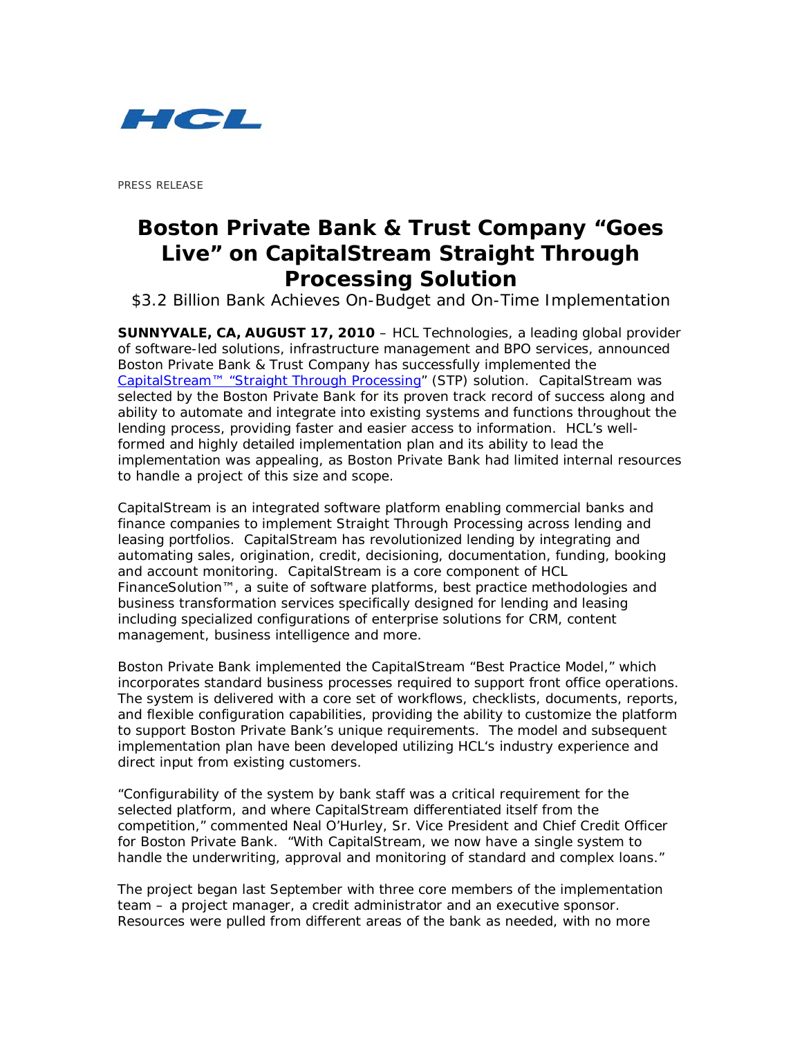

PRESS RELEASE

# **Boston Private Bank & Trust Company "Goes Live" on CapitalStream Straight Through Processing Solution**

*\$3.2 Billion Bank Achieves On-Budget and On-Time Implementation*

**SUNNYVALE, CA, AUGUST 17, 2010** – HCL Technologies, a leading global provider of software-led solutions, infrastructure management and BPO services, announced Boston Private Bank & Trust Company has successfully implemented the CapitalStream™ ["Straight Through Processing"](http://www.hcltech.com/capitalstream) (STP) solution. CapitalStream was selected by the Boston Private Bank for its proven track record of success along and ability to automate and integrate into existing systems and functions throughout the lending process, providing faster and easier access to information. HCL's wellformed and highly detailed implementation plan and its ability to lead the implementation was appealing, as Boston Private Bank had limited internal resources to handle a project of this size and scope.

CapitalStream is an integrated software platform enabling commercial banks and finance companies to implement Straight Through Processing across lending and leasing portfolios. CapitalStream has revolutionized lending by integrating and automating sales, origination, credit, decisioning, documentation, funding, booking and account monitoring. CapitalStream is a core component of HCL FinanceSolution™, a suite of software platforms, best practice methodologies and business transformation services specifically designed for lending and leasing including specialized configurations of enterprise solutions for CRM, content management, business intelligence and more.

Boston Private Bank implemented the CapitalStream "Best Practice Model," which incorporates standard business processes required to support front office operations. The system is delivered with a core set of workflows, checklists, documents, reports, and flexible configuration capabilities, providing the ability to customize the platform to support Boston Private Bank's unique requirements. The model and subsequent implementation plan have been developed utilizing HCL's industry experience and direct input from existing customers.

"Configurability of the system by bank staff was a critical requirement for the selected platform, and where CapitalStream differentiated itself from the competition," commented Neal O'Hurley, Sr. Vice President and Chief Credit Officer for Boston Private Bank. "With CapitalStream, we now have a single system to handle the underwriting, approval and monitoring of standard and complex loans."

The project began last September with three core members of the implementation team – a project manager, a credit administrator and an executive sponsor. Resources were pulled from different areas of the bank as needed, with no more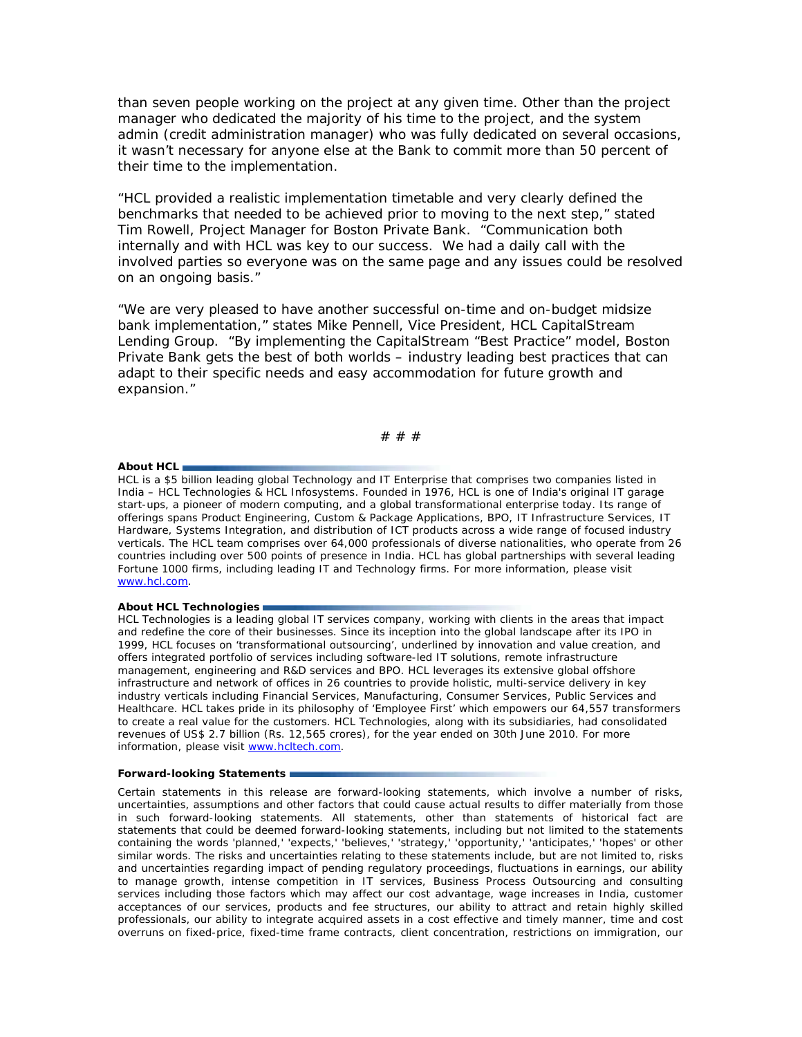than seven people working on the project at any given time. Other than the project manager who dedicated the majority of his time to the project, and the system admin (credit administration manager) who was fully dedicated on several occasions, it wasn't necessary for anyone else at the Bank to commit more than 50 percent of their time to the implementation.

"HCL provided a realistic implementation timetable and very clearly defined the benchmarks that needed to be achieved prior to moving to the next step," stated Tim Rowell, Project Manager for Boston Private Bank. "Communication both internally and with HCL was key to our success. We had a daily call with the involved parties so everyone was on the same page and any issues could be resolved on an ongoing basis."

"We are very pleased to have another successful on-time and on-budget midsize bank implementation," states Mike Pennell, Vice President, HCL CapitalStream Lending Group. "By implementing the CapitalStream "Best Practice" model, Boston Private Bank gets the best of both worlds – industry leading best practices that can adapt to their specific needs and easy accommodation for future growth and expansion."

# # #

#### **About HCL**

HCL is a \$5 billion leading global Technology and IT Enterprise that comprises two companies listed in India – HCL Technologies & HCL Infosystems. Founded in 1976, HCL is one of India's original IT garage start-ups, a pioneer of modern computing, and a global transformational enterprise today. Its range of offerings spans Product Engineering, Custom & Package Applications, BPO, IT Infrastructure Services, IT Hardware, Systems Integration, and distribution of ICT products across a wide range of focused industry verticals. The HCL team comprises over 64,000 professionals of diverse nationalities, who operate from 26 countries including over 500 points of presence in India. HCL has global partnerships with several leading Fortune 1000 firms, including leading IT and Technology firms. For more information, please visit [www.hcl.com.](http://www.hcl.com/)

#### **About HCL Technologies**

HCL Technologies is a leading global IT services company, working with clients in the areas that impact and redefine the core of their businesses. Since its inception into the global landscape after its IPO in 1999, HCL focuses on 'transformational outsourcing', underlined by innovation and value creation, and offers integrated portfolio of services including software-led IT solutions, remote infrastructure management, engineering and R&D services and BPO. HCL leverages its extensive global offshore infrastructure and network of offices in 26 countries to provide holistic, multi-service delivery in key industry verticals including Financial Services, Manufacturing, Consumer Services, Public Services and Healthcare. HCL takes pride in its philosophy of 'Employee First' which empowers our 64,557 transformers to create a real value for the customers. HCL Technologies, along with its subsidiaries, had consolidated revenues of US\$ 2.7 billion (Rs. 12,565 crores), for the year ended on 30th June 2010. For more information, please visit [www.hcltech.com.](http://www.hcltech.com/)

#### **Forward-looking Statements**

Certain statements in this release are forward-looking statements, which involve a number of risks, uncertainties, assumptions and other factors that could cause actual results to differ materially from those in such forward-looking statements. All statements, other than statements of historical fact are statements that could be deemed forward-looking statements, including but not limited to the statements containing the words 'planned,' 'expects,' 'believes,' 'strategy,' 'opportunity,' 'anticipates,' 'hopes' or other similar words. The risks and uncertainties relating to these statements include, but are not limited to, risks and uncertainties regarding impact of pending regulatory proceedings, fluctuations in earnings, our ability to manage growth, intense competition in IT services, Business Process Outsourcing and consulting services including those factors which may affect our cost advantage, wage increases in India, customer acceptances of our services, products and fee structures, our ability to attract and retain highly skilled professionals, our ability to integrate acquired assets in a cost effective and timely manner, time and cost overruns on fixed-price, fixed-time frame contracts, client concentration, restrictions on immigration, our